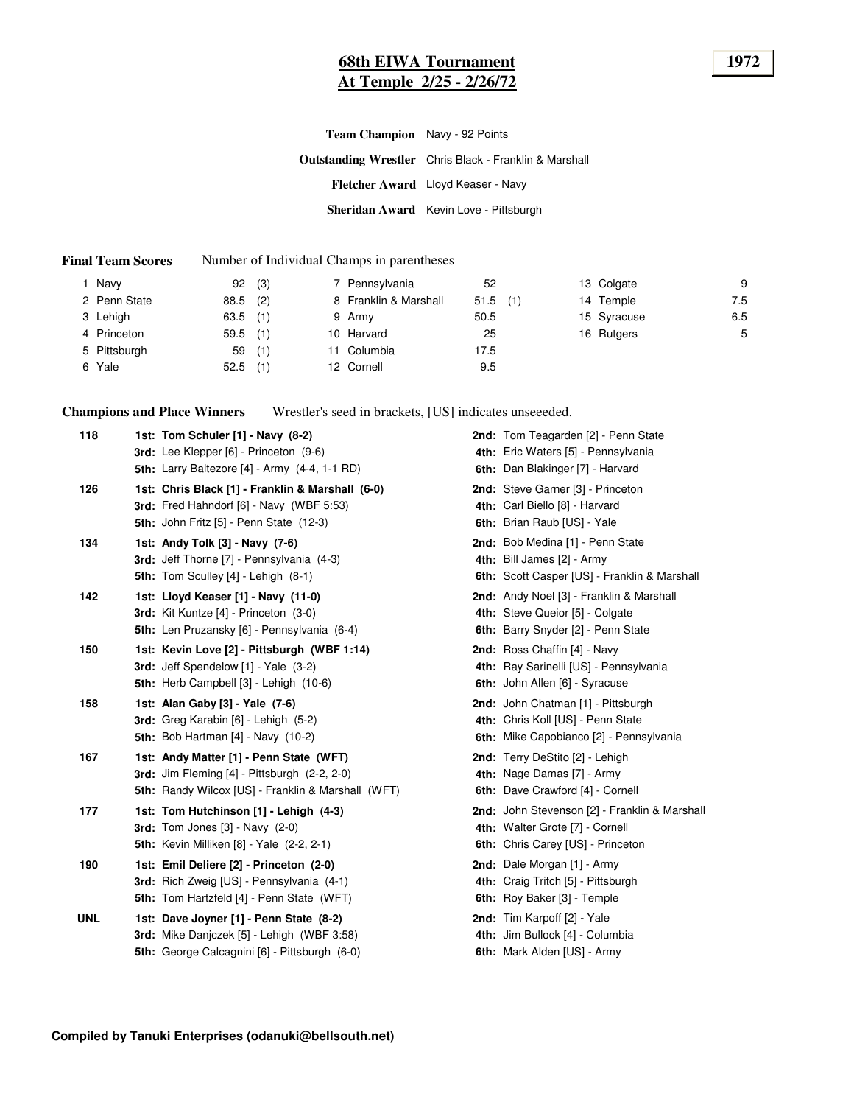#### **68th EIWA Tournament 1972 At Temple 2/25 - 2/26/72**

**Outstanding Wrestler** Chris Black - Franklin & Marshall **Fletcher Award** Lloyd Keaser - Navy **Sheridan Award** Kevin Love - Pittsburgh **Team Champion** Navy - 92 Points

#### **Final Team Scores** Number of Individual Champs in parentheses

| Navv         | 92         | (3) | 7 Pennsylvania        | 52         |  | 13 Colgate  | 9   |
|--------------|------------|-----|-----------------------|------------|--|-------------|-----|
| 2 Penn State | $88.5$ (2) |     | 8 Franklin & Marshall | $51.5$ (1) |  | 14 Temple   | 7.5 |
| 3 Lehigh     | $63.5$ (1) |     | 9 Army                | 50.5       |  | 15 Syracuse | 6.5 |
| 4 Princeton  | $59.5$ (1) |     | 10 Harvard            | 25         |  | 16 Rutgers  | 5   |
| 5 Pittsburgh | 59         | (1) | 11 Columbia           | 17.5       |  |             |     |
| 6 Yale       | 52.5       | (1) | 12 Cornell            | 9.5        |  |             |     |

**Champions and Place Winners** Wrestler's seed in brackets, [US] indicates unseeeded.

| 118        | 1st: Tom Schuler [1] - Navy (8-2)<br>3rd: Lee Klepper [6] - Princeton (9-6)                                                                              | 2nd: Tom Teagarden [2] - Penn State<br>4th: Eric Waters [5] - Pennsylvania                                            |
|------------|----------------------------------------------------------------------------------------------------------------------------------------------------------|-----------------------------------------------------------------------------------------------------------------------|
|            | 5th: Larry Baltezore [4] - Army (4-4, 1-1 RD)                                                                                                            | 6th: Dan Blakinger [7] - Harvard                                                                                      |
| 126        | 1st: Chris Black [1] - Franklin & Marshall (6-0)<br>3rd: Fred Hahndorf [6] - Navy (WBF 5:53)<br><b>5th: John Fritz [5] - Penn State (12-3)</b>           | 2nd: Steve Garner [3] - Princeton<br>4th: Carl Biello [8] - Harvard<br>6th: Brian Raub [US] - Yale                    |
| 134        | 1st: Andy Tolk [3] - Navy (7-6)<br>3rd: Jeff Thorne [7] - Pennsylvania (4-3)<br>5th: Tom Sculley [4] - Lehigh (8-1)                                      | 2nd: Bob Medina [1] - Penn State<br>4th: Bill James [2] - Army<br>6th: Scott Casper [US] - Franklin & Marshall        |
| 142        | 1st: Lloyd Keaser [1] - Navy (11-0)<br><b>3rd:</b> Kit Kuntze [4] - Princeton (3-0)<br>5th: Len Pruzansky [6] - Pennsylvania (6-4)                       | 2nd: Andy Noel [3] - Franklin & Marshall<br>4th: Steve Queior [5] - Colgate<br>6th: Barry Snyder [2] - Penn State     |
| 150        | 1st: Kevin Love [2] - Pittsburgh (WBF 1:14)<br>3rd: Jeff Spendelow [1] - Yale (3-2)<br>5th: Herb Campbell [3] - Lehigh (10-6)                            | 2nd: Ross Chaffin [4] - Navy<br>4th: Ray Sarinelli [US] - Pennsylvania<br>6th: John Allen [6] - Syracuse              |
| 158        | 1st: Alan Gaby [3] - Yale (7-6)<br>3rd: Greg Karabin [6] - Lehigh (5-2)<br><b>5th:</b> Bob Hartman [4] - Navy (10-2)                                     | 2nd: John Chatman [1] - Pittsburgh<br>4th: Chris Koll [US] - Penn State<br>6th: Mike Capobianco [2] - Pennsylvania    |
| 167        | 1st: Andy Matter [1] - Penn State (WFT)<br><b>3rd:</b> Jim Fleming $[4]$ - Pittsburgh $(2-2, 2-0)$<br>5th: Randy Wilcox [US] - Franklin & Marshall (WFT) | 2nd: Terry DeStito [2] - Lehigh<br>4th: Nage Damas [7] - Army<br>6th: Dave Crawford [4] - Cornell                     |
| 177        | 1st: Tom Hutchinson [1] - Lehigh (4-3)<br><b>3rd:</b> Tom Jones $[3]$ - Navy $(2-0)$<br><b>5th:</b> Kevin Milliken [8] - Yale (2-2, 2-1)                 | 2nd: John Stevenson [2] - Franklin & Marshall<br>4th: Walter Grote [7] - Cornell<br>6th: Chris Carey [US] - Princeton |
| 190        | 1st: Emil Deliere [2] - Princeton (2-0)<br>3rd: Rich Zweig [US] - Pennsylvania (4-1)<br>5th: Tom Hartzfeld [4] - Penn State (WFT)                        | 2nd: Dale Morgan [1] - Army<br>4th: Craig Tritch [5] - Pittsburgh<br>6th: Roy Baker [3] - Temple                      |
| <b>UNL</b> | 1st: Dave Joyner [1] - Penn State (8-2)<br>3rd: Mike Danjczek [5] - Lehigh (WBF 3:58)<br>5th: George Calcagnini [6] - Pittsburgh (6-0)                   | 2nd: Tim Karpoff [2] - Yale<br>4th: Jim Bullock [4] - Columbia<br>6th: Mark Alden [US] - Army                         |
|            |                                                                                                                                                          |                                                                                                                       |

**Compiled by Tanuki Enterprises (odanuki@bellsouth.net)**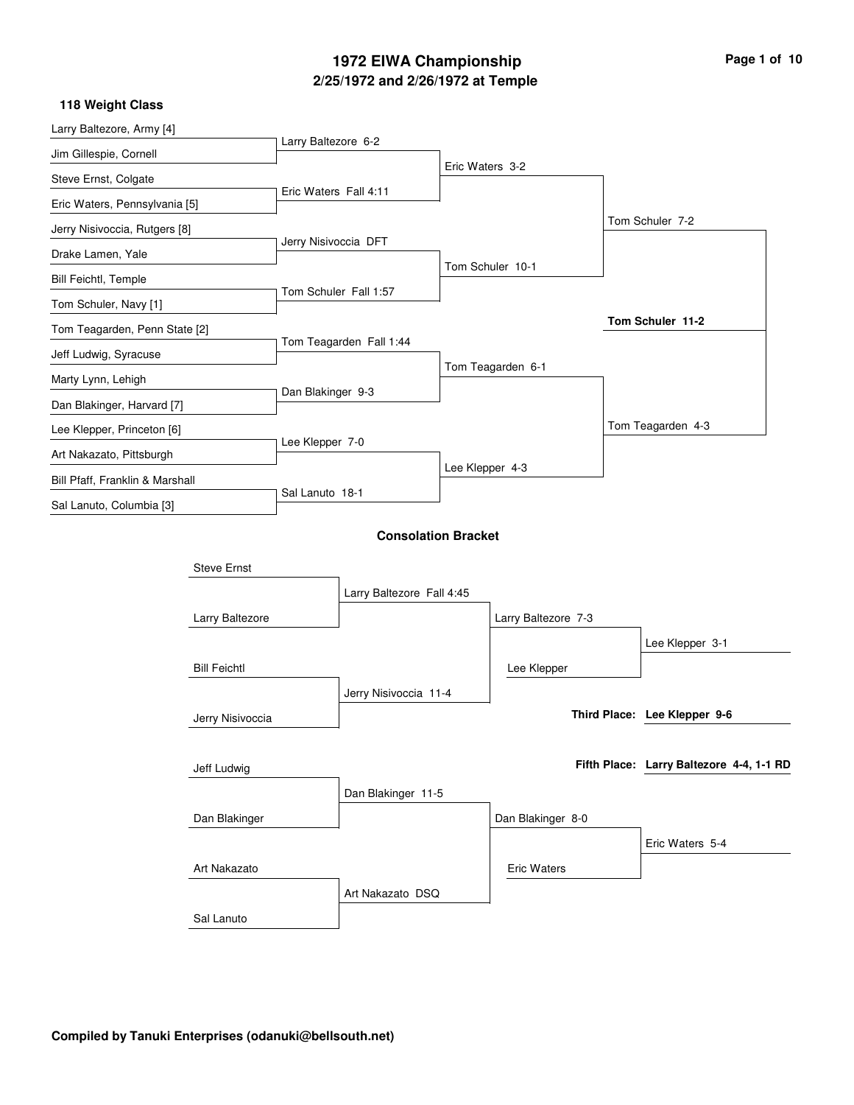# **2/25/1972 and 2/26/1972 at Temple 1972 EIWA Championship Page 1 of 10**

| Larry Baltezore, Army [4]       |                     |                       |                            |                 |                     |                                          |  |
|---------------------------------|---------------------|-----------------------|----------------------------|-----------------|---------------------|------------------------------------------|--|
| Jim Gillespie, Cornell          |                     | Larry Baltezore 6-2   |                            |                 |                     |                                          |  |
| Steve Ernst, Colgate            |                     |                       |                            | Eric Waters 3-2 |                     |                                          |  |
| Eric Waters, Pennsylvania [5]   |                     | Eric Waters Fall 4:11 |                            |                 |                     |                                          |  |
| Jerry Nisivoccia, Rutgers [8]   |                     |                       |                            |                 |                     | Tom Schuler 7-2                          |  |
| Drake Lamen, Yale               |                     | Jerry Nisivoccia DFT  |                            |                 |                     |                                          |  |
| <b>Bill Feichtl, Temple</b>     |                     |                       |                            |                 | Tom Schuler 10-1    |                                          |  |
| Tom Schuler, Navy [1]           |                     |                       | Tom Schuler Fall 1:57      |                 |                     |                                          |  |
| Tom Teagarden, Penn State [2]   |                     |                       |                            |                 |                     | Tom Schuler 11-2                         |  |
| Jeff Ludwig, Syracuse           |                     |                       | Tom Teagarden Fall 1:44    |                 |                     |                                          |  |
| Marty Lynn, Lehigh              |                     |                       |                            |                 | Tom Teagarden 6-1   |                                          |  |
| Dan Blakinger, Harvard [7]      |                     | Dan Blakinger 9-3     |                            |                 |                     |                                          |  |
| Lee Klepper, Princeton [6]      |                     |                       |                            |                 |                     | Tom Teagarden 4-3                        |  |
| Art Nakazato, Pittsburgh        |                     | Lee Klepper 7-0       |                            |                 |                     |                                          |  |
| Bill Pfaff, Franklin & Marshall |                     |                       |                            | Lee Klepper 4-3 |                     |                                          |  |
| Sal Lanuto, Columbia [3]        |                     | Sal Lanuto 18-1       |                            |                 |                     |                                          |  |
|                                 |                     |                       | <b>Consolation Bracket</b> |                 |                     |                                          |  |
|                                 |                     |                       |                            |                 |                     |                                          |  |
|                                 | <b>Steve Ernst</b>  |                       |                            |                 |                     |                                          |  |
|                                 |                     |                       | Larry Baltezore Fall 4:45  |                 |                     |                                          |  |
|                                 | Larry Baltezore     |                       |                            |                 | Larry Baltezore 7-3 |                                          |  |
|                                 |                     |                       |                            |                 |                     | Lee Klepper 3-1                          |  |
|                                 | <b>Bill Feichtl</b> |                       |                            |                 | Lee Klepper         |                                          |  |
|                                 |                     |                       | Jerry Nisivoccia 11-4      |                 |                     | Third Place: Lee Klepper 9-6             |  |
|                                 | Jerry Nisivoccia    |                       |                            |                 |                     |                                          |  |
|                                 |                     |                       |                            |                 |                     | Fifth Place: Larry Baltezore 4-4, 1-1 RD |  |
|                                 | Jeff Ludwig         |                       |                            |                 |                     |                                          |  |
|                                 |                     |                       | Dan Blakinger 11-5         |                 |                     |                                          |  |
|                                 | Dan Blakinger       |                       |                            |                 | Dan Blakinger 8-0   |                                          |  |
|                                 |                     |                       |                            |                 |                     | Eric Waters 5-4                          |  |
|                                 | Art Nakazato        |                       |                            |                 | <b>Eric Waters</b>  |                                          |  |
|                                 |                     |                       | Art Nakazato DSQ           |                 |                     |                                          |  |
|                                 | Sal Lanuto          |                       |                            |                 |                     |                                          |  |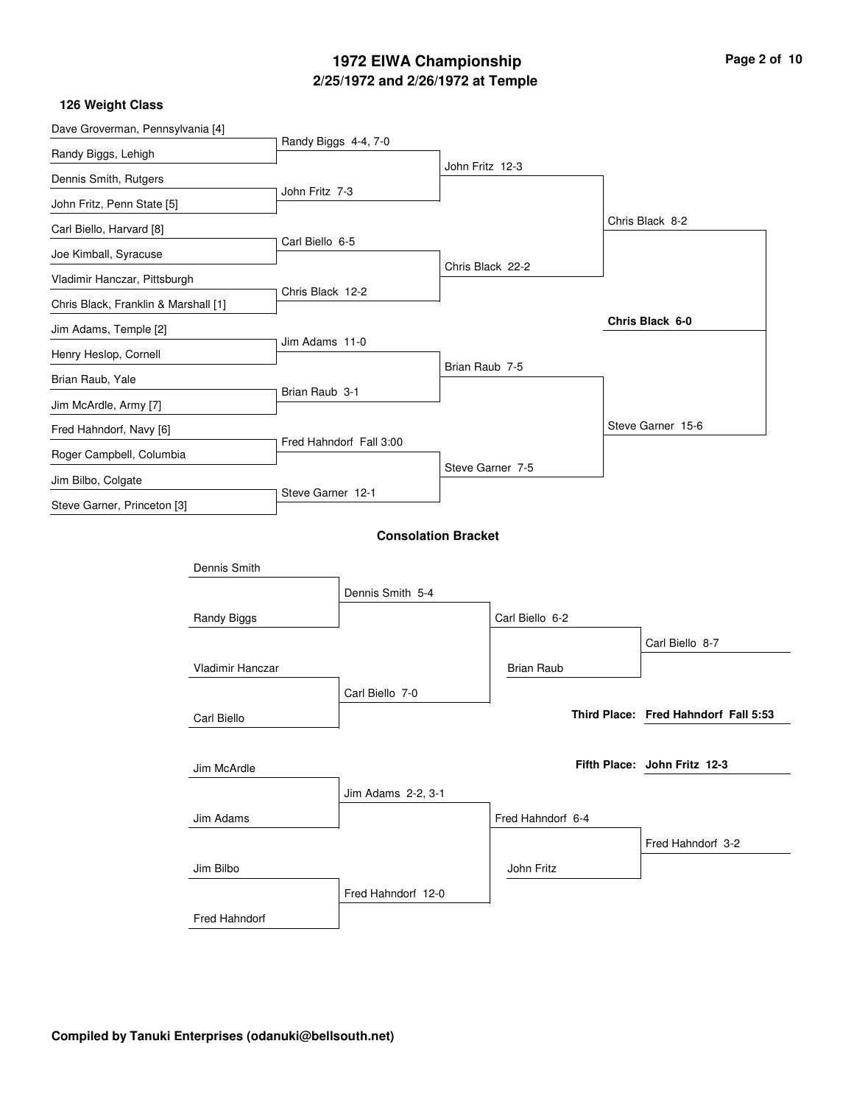## **2/25/1972 and 2/26/1972 at Temple 1972 EIWA Championship Page 2 of 10**

| Dave Groverman, Pennsylvania [4]     |                      |                         |                            |                   |                                      |
|--------------------------------------|----------------------|-------------------------|----------------------------|-------------------|--------------------------------------|
| Randy Biggs, Lehigh                  | Randy Biggs 4-4, 7-0 |                         |                            |                   |                                      |
| Dennis Smith, Rutgers                |                      |                         | John Fritz 12-3            |                   |                                      |
| John Fritz, Penn State [5]           | John Fritz 7-3       |                         |                            |                   |                                      |
| Carl Biello, Harvard [8]             |                      |                         |                            |                   | Chris Black 8-2                      |
| Joe Kimball, Syracuse                | Carl Biello 6-5      |                         |                            |                   |                                      |
| Vladimir Hanczar, Pittsburgh         |                      |                         |                            | Chris Black 22-2  |                                      |
| Chris Black, Franklin & Marshall [1] | Chris Black 12-2     |                         |                            |                   |                                      |
| Jim Adams, Temple [2]                |                      |                         |                            |                   | Chris Black 6-0                      |
| Henry Heslop, Cornell                | Jim Adams 11-0       |                         |                            |                   |                                      |
| Brian Raub, Yale                     |                      |                         | Brian Raub 7-5             |                   |                                      |
| Jim McArdle, Army [7]                | Brian Raub 3-1       |                         |                            |                   |                                      |
| Fred Hahndorf, Navy [6]              |                      |                         |                            |                   | Steve Garner 15-6                    |
| Roger Campbell, Columbia             |                      | Fred Hahndorf Fall 3:00 |                            |                   |                                      |
| Jim Bilbo, Colgate                   |                      |                         |                            | Steve Garner 7-5  |                                      |
| Steve Garner, Princeton [3]          | Steve Garner 12-1    |                         |                            |                   |                                      |
|                                      |                      |                         | <b>Consolation Bracket</b> |                   |                                      |
|                                      |                      |                         |                            |                   |                                      |
| Dennis Smith                         |                      |                         |                            |                   |                                      |
|                                      |                      | Dennis Smith 5-4        |                            |                   |                                      |
| Randy Biggs                          |                      |                         |                            | Carl Biello 6-2   |                                      |
|                                      |                      |                         |                            |                   | Carl Biello 8-7                      |
| Vladimir Hanczar                     |                      |                         |                            | <b>Brian Raub</b> |                                      |
|                                      |                      | Carl Biello 7-0         |                            |                   |                                      |
| Carl Biello                          |                      |                         |                            |                   | Third Place: Fred Hahndorf Fall 5:53 |
|                                      |                      |                         |                            |                   |                                      |
| Jim McArdle                          |                      |                         |                            |                   | Fifth Place: John Fritz 12-3         |
|                                      |                      | Jim Adams 2-2, 3-1      |                            |                   |                                      |
| Jim Adams                            |                      |                         |                            | Fred Hahndorf 6-4 |                                      |
|                                      |                      |                         |                            |                   | Fred Hahndorf 3-2                    |
| Jim Bilbo                            |                      |                         |                            | John Fritz        |                                      |
|                                      |                      | Fred Hahndorf 12-0      |                            |                   |                                      |
| Fred Hahndorf                        |                      |                         |                            |                   |                                      |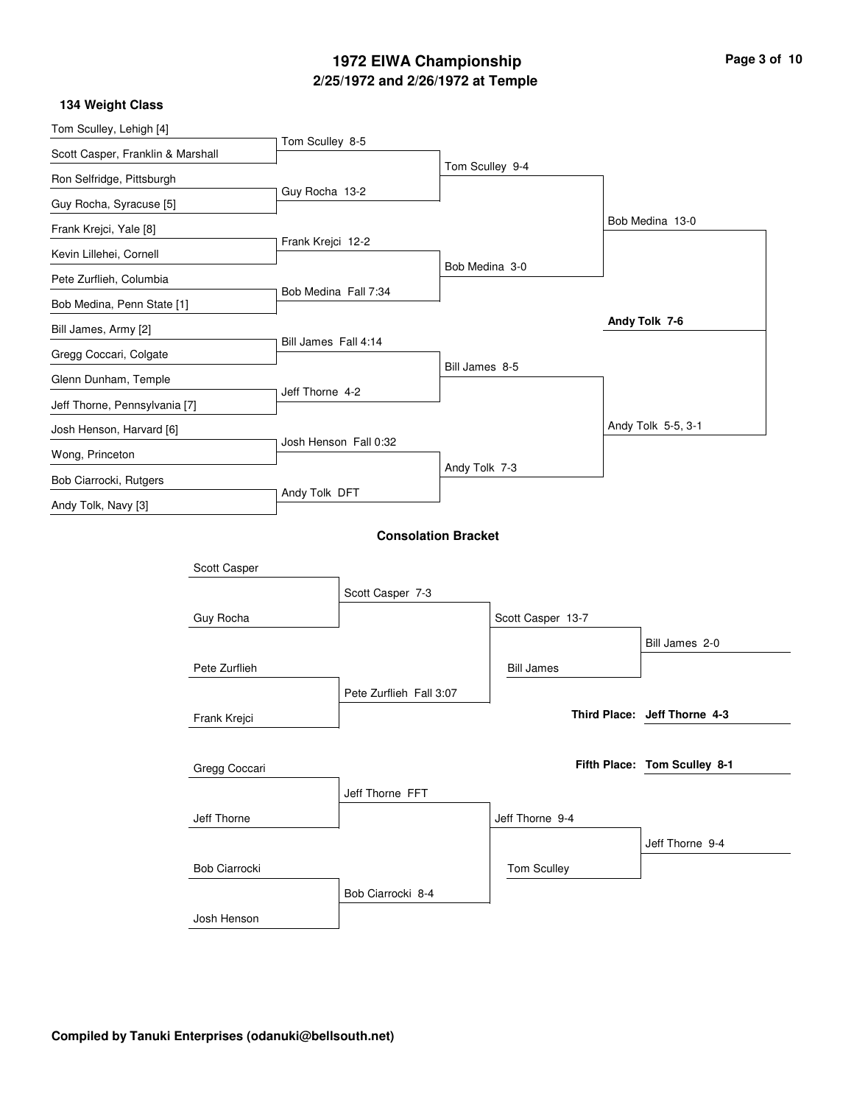## **2/25/1972 and 2/26/1972 at Temple 1972 EIWA Championship Page 3 of 10**

| Tom Sculley, Lehigh [4]                               |                      |                      |                            |                 |                   |                              |
|-------------------------------------------------------|----------------------|----------------------|----------------------------|-----------------|-------------------|------------------------------|
| Scott Casper, Franklin & Marshall                     |                      | Tom Sculley 8-5      |                            |                 |                   |                              |
| Ron Selfridge, Pittsburgh                             |                      |                      |                            | Tom Sculley 9-4 |                   |                              |
| Guy Rocha, Syracuse [5]                               |                      | Guy Rocha 13-2       |                            |                 |                   |                              |
| Frank Krejci, Yale [8]                                |                      |                      |                            |                 |                   | Bob Medina 13-0              |
| Kevin Lillehei, Cornell                               |                      | Frank Krejci 12-2    |                            |                 |                   |                              |
| Pete Zurflieh, Columbia                               |                      |                      |                            | Bob Medina 3-0  |                   |                              |
| Bob Medina, Penn State [1]                            |                      | Bob Medina Fall 7:34 |                            |                 |                   |                              |
| Bill James, Army [2]                                  |                      |                      |                            |                 |                   | Andy Tolk 7-6                |
| Gregg Coccari, Colgate                                |                      | Bill James Fall 4:14 |                            |                 |                   |                              |
| Glenn Dunham, Temple<br>Jeff Thorne, Pennsylvania [7] |                      |                      |                            | Bill James 8-5  |                   |                              |
|                                                       |                      |                      | Jeff Thorne 4-2            |                 |                   |                              |
| Josh Henson, Harvard [6]                              |                      |                      |                            |                 |                   | Andy Tolk 5-5, 3-1           |
| Wong, Princeton                                       |                      |                      | Josh Henson Fall 0:32      |                 |                   |                              |
| Bob Ciarrocki, Rutgers                                |                      |                      |                            | Andy Tolk 7-3   |                   |                              |
| Andy Tolk, Navy [3]                                   |                      | Andy Tolk DFT        |                            |                 |                   |                              |
|                                                       |                      |                      | <b>Consolation Bracket</b> |                 |                   |                              |
|                                                       |                      |                      |                            |                 |                   |                              |
|                                                       | Scott Casper         |                      |                            |                 |                   |                              |
|                                                       |                      |                      | Scott Casper 7-3           |                 |                   |                              |
|                                                       | Guy Rocha            |                      |                            |                 | Scott Casper 13-7 |                              |
|                                                       |                      |                      |                            |                 |                   | Bill James 2-0               |
|                                                       | Pete Zurflieh        |                      |                            |                 | <b>Bill James</b> |                              |
|                                                       |                      |                      | Pete Zurflieh Fall 3:07    |                 |                   |                              |
|                                                       | Frank Krejci         |                      |                            |                 |                   | Third Place: Jeff Thorne 4-3 |
|                                                       |                      |                      |                            |                 |                   |                              |
|                                                       | Gregg Coccari        |                      |                            |                 |                   | Fifth Place: Tom Sculley 8-1 |
|                                                       |                      |                      | Jeff Thorne FFT            |                 |                   |                              |
|                                                       | Jeff Thorne          |                      |                            |                 | Jeff Thorne 9-4   |                              |
|                                                       |                      |                      |                            |                 |                   | Jeff Thorne 9-4              |
|                                                       | <b>Bob Ciarrocki</b> |                      |                            |                 | Tom Sculley       |                              |
|                                                       |                      |                      | Bob Ciarrocki 8-4          |                 |                   |                              |
|                                                       | Josh Henson          |                      |                            |                 |                   |                              |
|                                                       |                      |                      |                            |                 |                   |                              |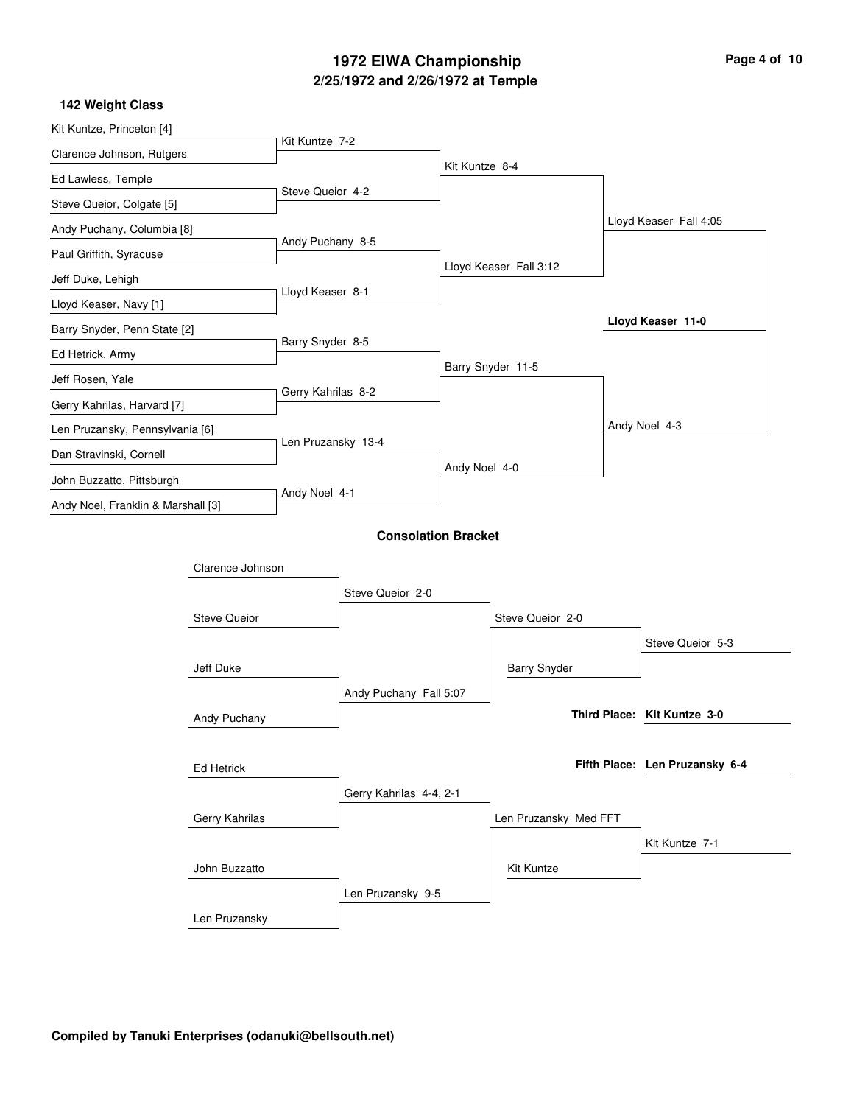## **2/25/1972 and 2/26/1972 at Temple 1972 EIWA Championship Page 4 of 10**

| Kit Kuntze, Princeton [4]          |                     |                    |                            |                |                        |  |                                |
|------------------------------------|---------------------|--------------------|----------------------------|----------------|------------------------|--|--------------------------------|
| Clarence Johnson, Rutgers          |                     | Kit Kuntze 7-2     |                            |                |                        |  |                                |
| Ed Lawless, Temple                 |                     |                    |                            | Kit Kuntze 8-4 |                        |  |                                |
| Steve Queior, Colgate [5]          |                     | Steve Queior 4-2   |                            |                |                        |  |                                |
| Andy Puchany, Columbia [8]         |                     |                    |                            |                |                        |  | Lloyd Keaser Fall 4:05         |
| Paul Griffith, Syracuse            |                     | Andy Puchany 8-5   |                            |                |                        |  |                                |
| Jeff Duke, Lehigh                  |                     |                    |                            |                | Lloyd Keaser Fall 3:12 |  |                                |
| Lloyd Keaser, Navy [1]             |                     | Lloyd Keaser 8-1   |                            |                |                        |  |                                |
| Barry Snyder, Penn State [2]       |                     |                    |                            |                |                        |  | Lloyd Keaser 11-0              |
| Ed Hetrick, Army                   |                     | Barry Snyder 8-5   |                            |                |                        |  |                                |
| Jeff Rosen, Yale                   |                     |                    |                            |                | Barry Snyder 11-5      |  |                                |
| Gerry Kahrilas, Harvard [7]        |                     | Gerry Kahrilas 8-2 |                            |                |                        |  |                                |
|                                    |                     |                    |                            |                |                        |  | Andy Noel 4-3                  |
| Len Pruzansky, Pennsylvania [6]    |                     | Len Pruzansky 13-4 |                            |                |                        |  |                                |
| Dan Stravinski, Cornell            |                     |                    |                            | Andy Noel 4-0  |                        |  |                                |
| John Buzzatto, Pittsburgh          |                     | Andy Noel 4-1      |                            |                |                        |  |                                |
| Andy Noel, Franklin & Marshall [3] |                     |                    |                            |                |                        |  |                                |
|                                    |                     |                    | <b>Consolation Bracket</b> |                |                        |  |                                |
|                                    | Clarence Johnson    |                    |                            |                |                        |  |                                |
|                                    |                     |                    | Steve Queior 2-0           |                |                        |  |                                |
|                                    | <b>Steve Queior</b> |                    |                            |                | Steve Queior 2-0       |  |                                |
|                                    |                     |                    |                            |                |                        |  | Steve Queior 5-3               |
|                                    | Jeff Duke           |                    |                            |                | <b>Barry Snyder</b>    |  |                                |
|                                    |                     |                    | Andy Puchany Fall 5:07     |                |                        |  |                                |
|                                    | Andy Puchany        |                    |                            |                |                        |  | Third Place: Kit Kuntze 3-0    |
|                                    |                     |                    |                            |                |                        |  |                                |
|                                    | Ed Hetrick          |                    |                            |                |                        |  | Fifth Place: Len Pruzansky 6-4 |
|                                    |                     |                    | Gerry Kahrilas 4-4, 2-1    |                |                        |  |                                |
|                                    | Gerry Kahrilas      |                    |                            |                | Len Pruzansky Med FFT  |  |                                |
|                                    |                     |                    |                            |                |                        |  | Kit Kuntze 7-1                 |
|                                    | John Buzzatto       |                    |                            |                | Kit Kuntze             |  |                                |
|                                    |                     |                    | Len Pruzansky 9-5          |                |                        |  |                                |
|                                    |                     |                    |                            |                |                        |  |                                |
|                                    | Len Pruzansky       |                    |                            |                |                        |  |                                |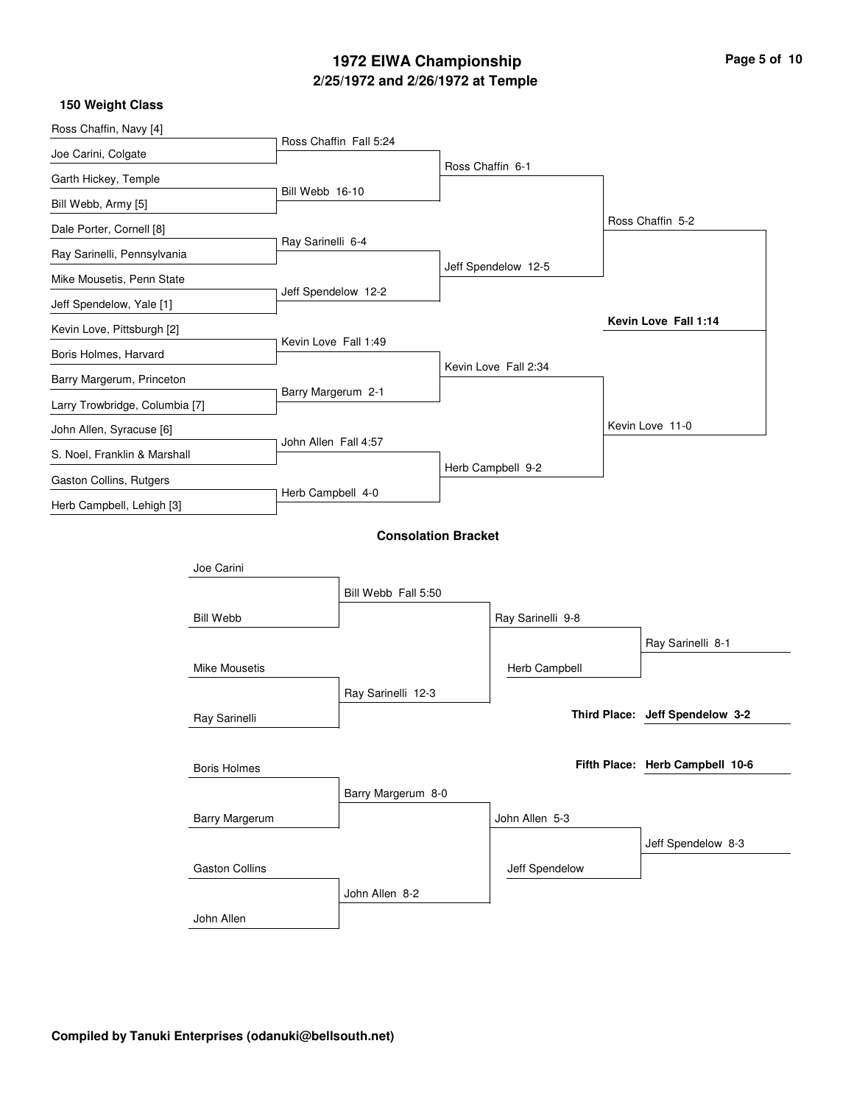## **2/25/1972 and 2/26/1972 at Temple 1972 EIWA Championship**

| 150 Weight Class               |                      |                            |                  |                      |                                 |
|--------------------------------|----------------------|----------------------------|------------------|----------------------|---------------------------------|
| Ross Chaffin, Navy [4]         |                      | Ross Chaffin Fall 5:24     |                  |                      |                                 |
| Joe Carini, Colgate            |                      |                            |                  |                      |                                 |
| Garth Hickey, Temple           |                      |                            | Ross Chaffin 6-1 |                      |                                 |
| Bill Webb, Army [5]            | Bill Webb 16-10      |                            |                  |                      |                                 |
| Dale Porter, Cornell [8]       |                      |                            |                  |                      | Ross Chaffin 5-2                |
| Ray Sarinelli, Pennsylvania    | Ray Sarinelli 6-4    |                            |                  |                      |                                 |
| Mike Mousetis, Penn State      |                      |                            |                  | Jeff Spendelow 12-5  |                                 |
| Jeff Spendelow, Yale [1]       | Jeff Spendelow 12-2  |                            |                  |                      |                                 |
| Kevin Love, Pittsburgh [2]     |                      |                            |                  |                      | Kevin Love Fall 1:14            |
| Boris Holmes, Harvard          | Kevin Love Fall 1:49 |                            |                  |                      |                                 |
| Barry Margerum, Princeton      |                      |                            |                  | Kevin Love Fall 2:34 |                                 |
| Larry Trowbridge, Columbia [7] | Barry Margerum 2-1   |                            |                  |                      |                                 |
| John Allen, Syracuse [6]       |                      |                            |                  |                      | Kevin Love 11-0                 |
| S. Noel, Franklin & Marshall   | John Allen Fall 4:57 |                            |                  |                      |                                 |
| Gaston Collins, Rutgers        |                      |                            |                  | Herb Campbell 9-2    |                                 |
| Herb Campbell, Lehigh [3]      | Herb Campbell 4-0    |                            |                  |                      |                                 |
|                                |                      | <b>Consolation Bracket</b> |                  |                      |                                 |
| Joe Carini                     |                      |                            |                  |                      |                                 |
|                                |                      | Bill Webb Fall 5:50        |                  |                      |                                 |
| <b>Bill Webb</b>               |                      |                            |                  | Ray Sarinelli 9-8    |                                 |
|                                |                      |                            |                  |                      | Ray Sarinelli 8-1               |
| Mike Mousetis                  |                      |                            |                  | Herb Campbell        |                                 |
|                                |                      | Ray Sarinelli 12-3         |                  |                      |                                 |
| Ray Sarinelli                  |                      |                            |                  |                      | Third Place: Jeff Spendelow 3-2 |
|                                |                      |                            |                  |                      |                                 |
| <b>Boris Holmes</b>            |                      |                            |                  |                      | Fifth Place: Herb Campbell 10-6 |
|                                |                      | Barry Margerum 8-0         |                  |                      |                                 |
| Barry Margerum                 |                      |                            |                  | John Allen 5-3       |                                 |
|                                |                      |                            |                  |                      | Jeff Spendelow 8-3              |
| <b>Gaston Collins</b>          |                      |                            |                  | Jeff Spendelow       |                                 |
|                                |                      | John Allen 8-2             |                  |                      |                                 |
| John Allen                     |                      |                            |                  |                      |                                 |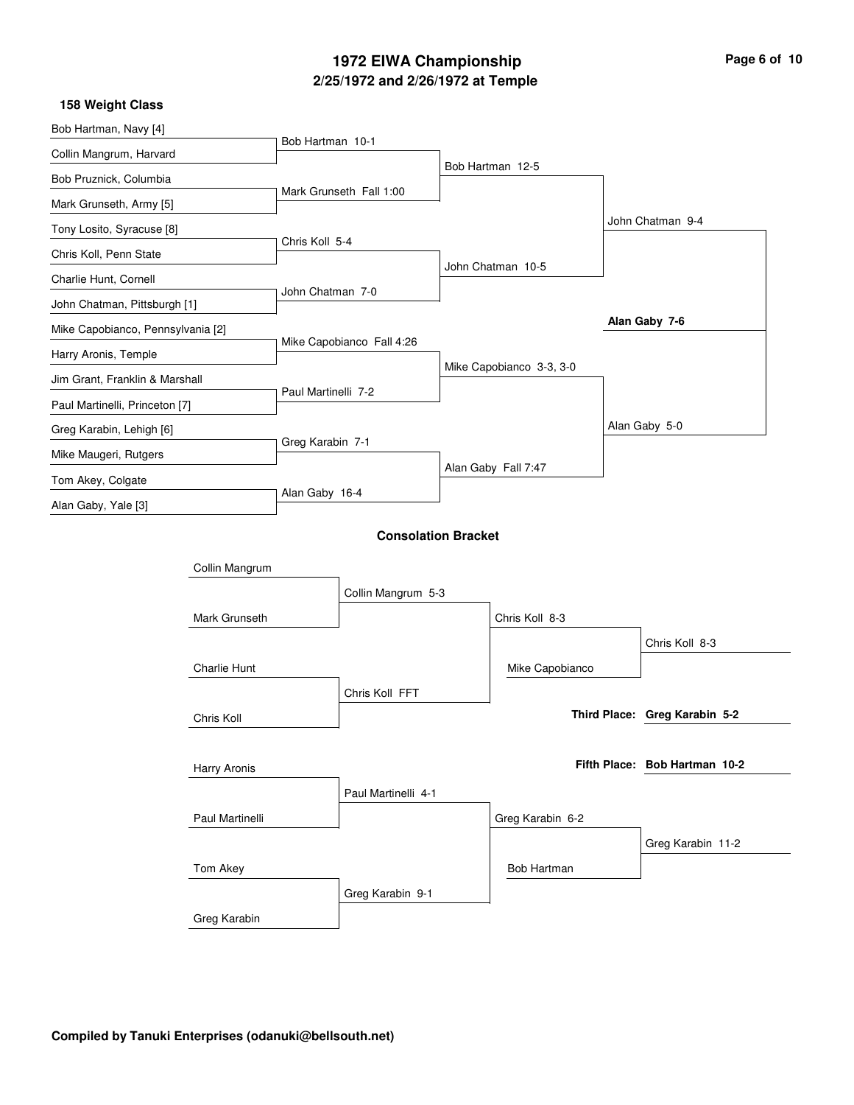## **2/25/1972 and 2/26/1972 at Temple 1972 EIWA Championship Page 6 of 10**

| 158 Weight Class                  |                 |                     |                            |                          |                               |
|-----------------------------------|-----------------|---------------------|----------------------------|--------------------------|-------------------------------|
| Bob Hartman, Navy [4]             |                 |                     |                            |                          |                               |
| Collin Mangrum, Harvard           |                 | Bob Hartman 10-1    |                            |                          |                               |
| Bob Pruznick, Columbia            |                 |                     |                            | Bob Hartman 12-5         |                               |
| Mark Grunseth, Army [5]           |                 |                     | Mark Grunseth Fall 1:00    |                          |                               |
| Tony Losito, Syracuse [8]         |                 |                     |                            |                          | John Chatman 9-4              |
| Chris Koll, Penn State            |                 | Chris Koll 5-4      |                            |                          |                               |
| Charlie Hunt, Cornell             |                 |                     |                            | John Chatman 10-5        |                               |
| John Chatman, Pittsburgh [1]      |                 | John Chatman 7-0    |                            |                          |                               |
| Mike Capobianco, Pennsylvania [2] |                 |                     |                            |                          | Alan Gaby 7-6                 |
| Harry Aronis, Temple              |                 |                     | Mike Capobianco Fall 4:26  |                          |                               |
| Jim Grant, Franklin & Marshall    |                 |                     |                            | Mike Capobianco 3-3, 3-0 |                               |
| Paul Martinelli, Princeton [7]    |                 | Paul Martinelli 7-2 |                            |                          |                               |
| Greg Karabin, Lehigh [6]          |                 |                     |                            |                          | Alan Gaby 5-0                 |
| Mike Maugeri, Rutgers             |                 | Greg Karabin 7-1    |                            |                          |                               |
| Tom Akey, Colgate                 |                 |                     |                            | Alan Gaby Fall 7:47      |                               |
| Alan Gaby, Yale [3]               |                 | Alan Gaby 16-4      |                            |                          |                               |
|                                   |                 |                     | <b>Consolation Bracket</b> |                          |                               |
|                                   | Collin Mangrum  |                     |                            |                          |                               |
|                                   |                 |                     |                            |                          |                               |
|                                   |                 |                     | Collin Mangrum 5-3         |                          |                               |
|                                   | Mark Grunseth   |                     |                            | Chris Koll 8-3           |                               |
|                                   |                 |                     |                            |                          | Chris Koll 8-3                |
|                                   | Charlie Hunt    |                     |                            | Mike Capobianco          |                               |
|                                   |                 |                     | Chris Koll FFT             |                          |                               |
|                                   | Chris Koll      |                     |                            |                          | Third Place: Greg Karabin 5-2 |
|                                   |                 |                     |                            |                          |                               |
|                                   | Harry Aronis    |                     |                            |                          | Fifth Place: Bob Hartman 10-2 |
|                                   |                 |                     | Paul Martinelli 4-1        |                          |                               |
|                                   | Paul Martinelli |                     |                            | Greg Karabin 6-2         |                               |
|                                   |                 |                     |                            |                          | Greg Karabin 11-2             |
|                                   | Tom Akey        |                     |                            | Bob Hartman              |                               |
|                                   |                 |                     | Greg Karabin 9-1           |                          |                               |
|                                   | Greg Karabin    |                     |                            |                          |                               |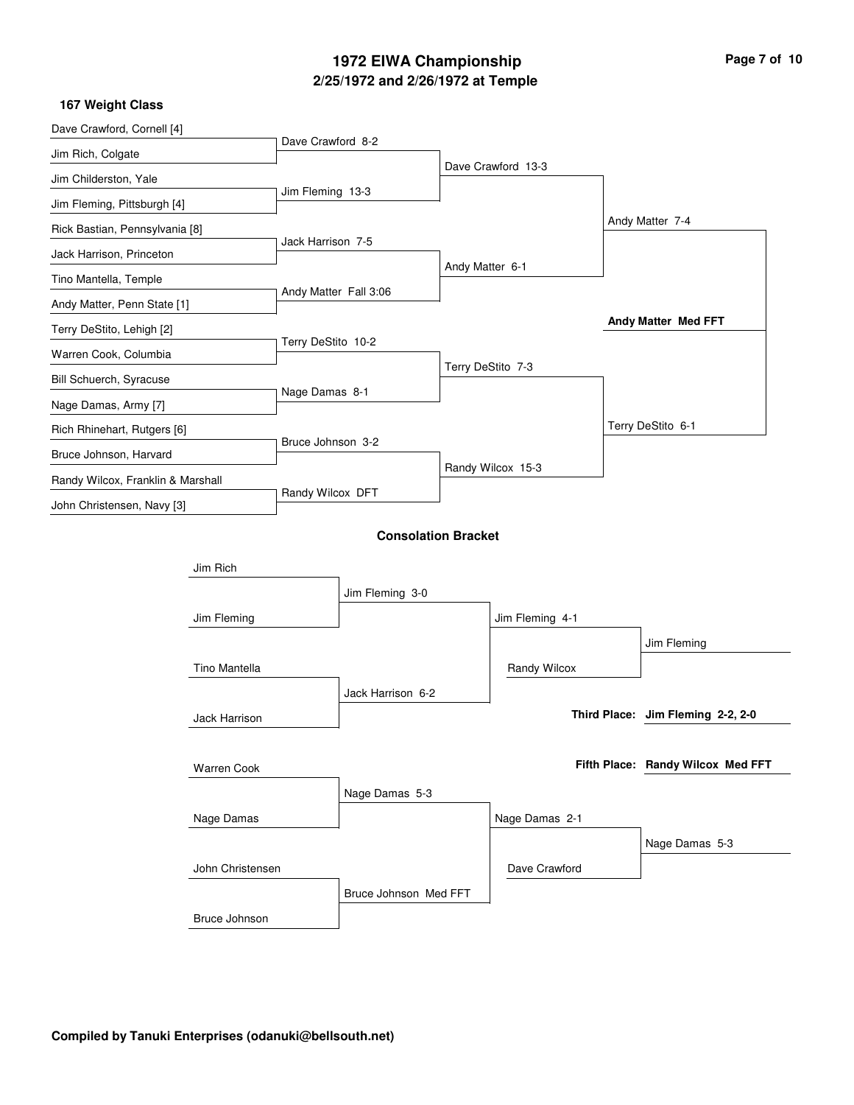# **2/25/1972 and 2/26/1972 at Temple 1972 EIWA Championship Page 7 of 10**

| Dave Crawford, Cornell [4]        |                  |                       |                            |                   |                    |                                   |  |
|-----------------------------------|------------------|-----------------------|----------------------------|-------------------|--------------------|-----------------------------------|--|
| Jim Rich, Colgate                 |                  | Dave Crawford 8-2     |                            |                   |                    |                                   |  |
| Jim Childerston, Yale             |                  |                       |                            |                   | Dave Crawford 13-3 |                                   |  |
| Jim Fleming, Pittsburgh [4]       |                  | Jim Fleming 13-3      |                            |                   |                    |                                   |  |
| Rick Bastian, Pennsylvania [8]    |                  |                       |                            |                   |                    | Andy Matter 7-4                   |  |
| Jack Harrison, Princeton          |                  | Jack Harrison 7-5     |                            |                   |                    |                                   |  |
| Tino Mantella, Temple             |                  |                       |                            | Andy Matter 6-1   |                    |                                   |  |
| Andy Matter, Penn State [1]       |                  | Andy Matter Fall 3:06 |                            |                   |                    |                                   |  |
| Terry DeStito, Lehigh [2]         |                  |                       |                            |                   |                    | Andy Matter Med FFT               |  |
| Warren Cook, Columbia             |                  | Terry DeStito 10-2    |                            |                   |                    |                                   |  |
| Bill Schuerch, Syracuse           |                  |                       |                            | Terry DeStito 7-3 |                    |                                   |  |
| Nage Damas, Army [7]              |                  | Nage Damas 8-1        |                            |                   |                    |                                   |  |
| Rich Rhinehart, Rutgers [6]       |                  |                       |                            |                   |                    | Terry DeStito 6-1                 |  |
| Bruce Johnson, Harvard            |                  | Bruce Johnson 3-2     |                            |                   |                    |                                   |  |
| Randy Wilcox, Franklin & Marshall |                  | Randy Wilcox DFT      |                            |                   | Randy Wilcox 15-3  |                                   |  |
| John Christensen, Navy [3]        |                  |                       |                            |                   |                    |                                   |  |
|                                   |                  |                       | <b>Consolation Bracket</b> |                   |                    |                                   |  |
|                                   |                  |                       |                            |                   |                    |                                   |  |
|                                   | Jim Rich         |                       |                            |                   |                    |                                   |  |
|                                   |                  |                       | Jim Fleming 3-0            |                   |                    |                                   |  |
|                                   | Jim Fleming      |                       |                            |                   | Jim Fleming 4-1    |                                   |  |
|                                   |                  |                       |                            |                   |                    | Jim Fleming                       |  |
|                                   | Tino Mantella    |                       |                            |                   | Randy Wilcox       |                                   |  |
|                                   |                  |                       | Jack Harrison 6-2          |                   |                    | Third Place: Jim Fleming 2-2, 2-0 |  |
|                                   | Jack Harrison    |                       |                            |                   |                    |                                   |  |
|                                   |                  |                       |                            |                   |                    | Fifth Place: Randy Wilcox Med FFT |  |
|                                   | Warren Cook      |                       |                            |                   |                    |                                   |  |
|                                   |                  |                       | Nage Damas 5-3             |                   |                    |                                   |  |
|                                   | Nage Damas       |                       |                            |                   | Nage Damas 2-1     |                                   |  |
|                                   |                  |                       |                            |                   |                    | Nage Damas 5-3                    |  |
|                                   | John Christensen |                       |                            |                   | Dave Crawford      |                                   |  |
|                                   |                  |                       | Bruce Johnson Med FFT      |                   |                    |                                   |  |
|                                   | Bruce Johnson    |                       |                            |                   |                    |                                   |  |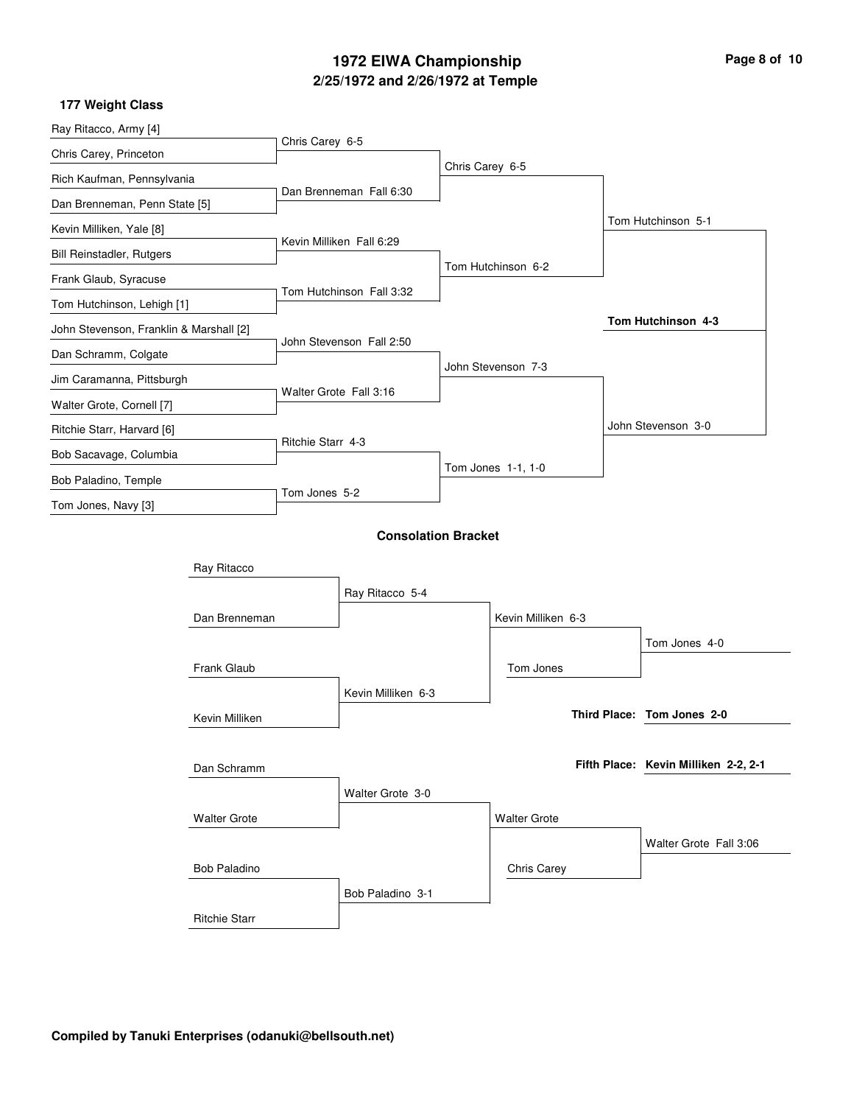## **2/25/1972 and 2/26/1972 at Temple 1972 EIWA Championship Page 8 of 10**

| Ray Ritacco, Army [4]                             |                      |                          |                            |                 |                     |                                      |
|---------------------------------------------------|----------------------|--------------------------|----------------------------|-----------------|---------------------|--------------------------------------|
| Chris Carey, Princeton                            |                      | Chris Carey 6-5          |                            |                 |                     |                                      |
| Rich Kaufman, Pennsylvania                        |                      |                          |                            | Chris Carey 6-5 |                     |                                      |
| Dan Brenneman, Penn State [5]                     |                      |                          | Dan Brenneman Fall 6:30    |                 |                     |                                      |
| Kevin Milliken, Yale [8]                          |                      |                          |                            |                 |                     | Tom Hutchinson 5-1                   |
| <b>Bill Reinstadler, Rutgers</b>                  |                      |                          | Kevin Milliken Fall 6:29   |                 |                     |                                      |
| Frank Glaub, Syracuse                             |                      |                          |                            |                 | Tom Hutchinson 6-2  |                                      |
| Tom Hutchinson, Lehigh [1]                        |                      |                          | Tom Hutchinson Fall 3:32   |                 |                     |                                      |
| John Stevenson, Franklin & Marshall [2]           |                      |                          |                            |                 |                     | Tom Hutchinson 4-3                   |
| Dan Schramm, Colgate<br>Jim Caramanna, Pittsburgh |                      | John Stevenson Fall 2:50 |                            |                 |                     |                                      |
|                                                   |                      |                          |                            |                 | John Stevenson 7-3  |                                      |
| Walter Grote, Cornell [7]                         |                      |                          | Walter Grote Fall 3:16     |                 |                     |                                      |
| Ritchie Starr, Harvard [6]                        |                      |                          |                            |                 |                     | John Stevenson 3-0                   |
| Bob Sacavage, Columbia                            |                      | Ritchie Starr 4-3        |                            |                 |                     |                                      |
| Bob Paladino, Temple                              |                      |                          |                            |                 | Tom Jones 1-1, 1-0  |                                      |
| Tom Jones, Navy [3]                               |                      | Tom Jones 5-2            |                            |                 |                     |                                      |
|                                                   |                      |                          | <b>Consolation Bracket</b> |                 |                     |                                      |
|                                                   |                      |                          |                            |                 |                     |                                      |
|                                                   | Ray Ritacco          |                          |                            |                 |                     |                                      |
|                                                   |                      |                          | Ray Ritacco 5-4            |                 |                     |                                      |
|                                                   | Dan Brenneman        |                          |                            |                 | Kevin Milliken 6-3  |                                      |
|                                                   |                      |                          |                            |                 |                     | Tom Jones 4-0                        |
|                                                   | Frank Glaub          |                          |                            |                 | Tom Jones           |                                      |
|                                                   |                      |                          | Kevin Milliken 6-3         |                 |                     |                                      |
|                                                   | Kevin Milliken       |                          |                            |                 |                     | Third Place: Tom Jones 2-0           |
|                                                   |                      |                          |                            |                 |                     |                                      |
|                                                   | Dan Schramm          |                          |                            |                 |                     | Fifth Place: Kevin Milliken 2-2, 2-1 |
|                                                   |                      |                          | Walter Grote 3-0           |                 |                     |                                      |
|                                                   | <b>Walter Grote</b>  |                          |                            |                 | <b>Walter Grote</b> |                                      |
|                                                   |                      |                          |                            |                 |                     | Walter Grote Fall 3:06               |
|                                                   | <b>Bob Paladino</b>  |                          |                            |                 | Chris Carey         |                                      |
|                                                   |                      |                          | Bob Paladino 3-1           |                 |                     |                                      |
|                                                   | <b>Ritchie Starr</b> |                          |                            |                 |                     |                                      |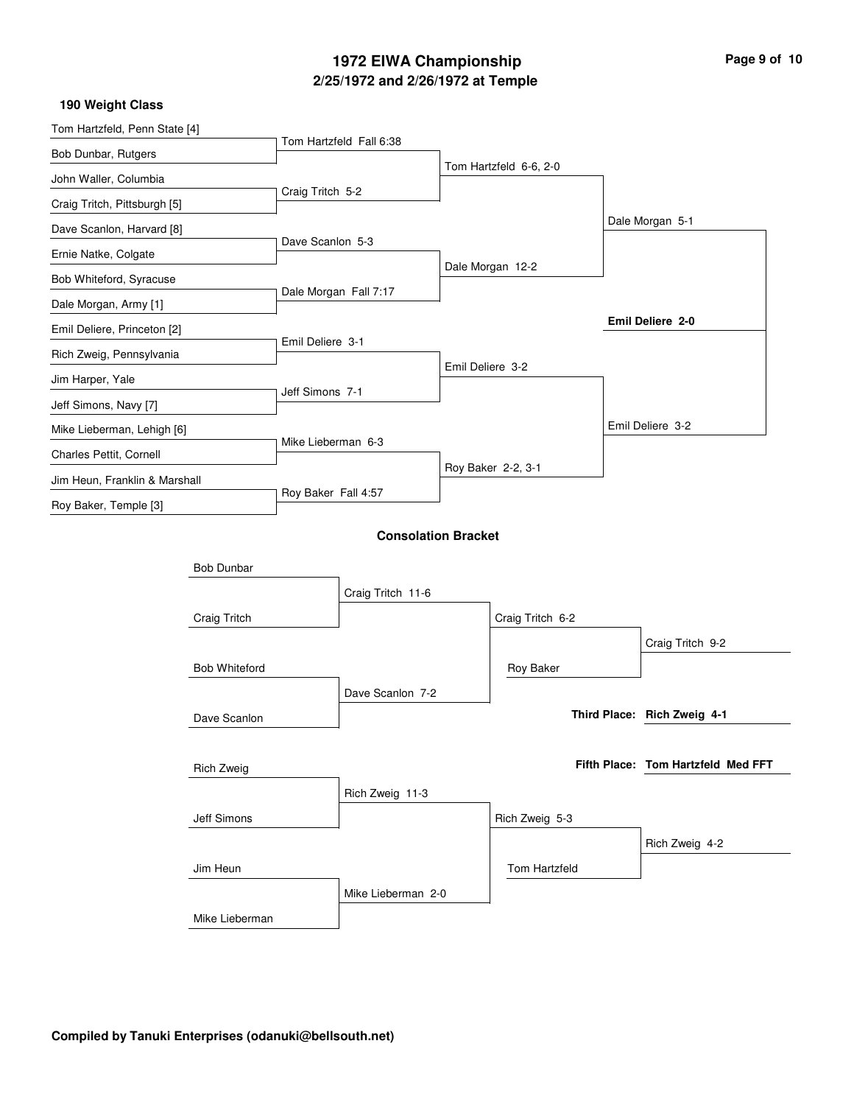## **2/25/1972 and 2/26/1972 at Temple 1972 EIWA Championship Page 9 of 10**

| Tom Hartzfeld, Penn State [4] |                      |                     |                            |                  |                        |                                    |  |
|-------------------------------|----------------------|---------------------|----------------------------|------------------|------------------------|------------------------------------|--|
| Bob Dunbar, Rutgers           |                      |                     | Tom Hartzfeld Fall 6:38    |                  |                        |                                    |  |
| John Waller, Columbia         |                      |                     |                            |                  | Tom Hartzfeld 6-6, 2-0 |                                    |  |
| Craig Tritch, Pittsburgh [5]  |                      | Craig Tritch 5-2    |                            |                  |                        |                                    |  |
| Dave Scanlon, Harvard [8]     |                      |                     |                            |                  |                        | Dale Morgan 5-1                    |  |
| Ernie Natke, Colgate          |                      | Dave Scanlon 5-3    |                            |                  |                        |                                    |  |
| Bob Whiteford, Syracuse       |                      |                     |                            |                  | Dale Morgan 12-2       |                                    |  |
| Dale Morgan, Army [1]         |                      |                     | Dale Morgan Fall 7:17      |                  |                        |                                    |  |
| Emil Deliere, Princeton [2]   |                      |                     |                            |                  |                        | Emil Deliere 2-0                   |  |
| Rich Zweig, Pennsylvania      |                      | Emil Deliere 3-1    |                            |                  |                        |                                    |  |
| Jim Harper, Yale              |                      |                     |                            | Emil Deliere 3-2 |                        |                                    |  |
| Jeff Simons, Navy [7]         |                      | Jeff Simons 7-1     |                            |                  |                        |                                    |  |
| Mike Lieberman, Lehigh [6]    |                      |                     |                            |                  |                        | Emil Deliere 3-2                   |  |
| Charles Pettit, Cornell       |                      | Mike Lieberman 6-3  |                            |                  |                        |                                    |  |
| Jim Heun, Franklin & Marshall |                      | Roy Baker Fall 4:57 |                            |                  | Roy Baker 2-2, 3-1     |                                    |  |
| Roy Baker, Temple [3]         |                      |                     |                            |                  |                        |                                    |  |
|                               |                      |                     | <b>Consolation Bracket</b> |                  |                        |                                    |  |
|                               |                      |                     |                            |                  |                        |                                    |  |
|                               | <b>Bob Dunbar</b>    |                     |                            |                  |                        |                                    |  |
|                               |                      |                     | Craig Tritch 11-6          |                  |                        |                                    |  |
|                               | Craig Tritch         |                     |                            |                  | Craig Tritch 6-2       |                                    |  |
|                               |                      |                     |                            |                  |                        | Craig Tritch 9-2                   |  |
|                               | <b>Bob Whiteford</b> |                     |                            |                  | Roy Baker              |                                    |  |
|                               |                      |                     | Dave Scanlon 7-2           |                  |                        | Third Place: Rich Zweig 4-1        |  |
|                               | Dave Scanlon         |                     |                            |                  |                        |                                    |  |
|                               | <b>Rich Zweig</b>    |                     |                            |                  |                        | Fifth Place: Tom Hartzfeld Med FFT |  |
|                               |                      |                     | Rich Zweig 11-3            |                  |                        |                                    |  |
|                               | Jeff Simons          |                     |                            |                  | Rich Zweig 5-3         |                                    |  |
|                               |                      |                     |                            |                  |                        | Rich Zweig 4-2                     |  |
|                               | Jim Heun             |                     |                            |                  | Tom Hartzfeld          |                                    |  |
|                               |                      |                     | Mike Lieberman 2-0         |                  |                        |                                    |  |
|                               | Mike Lieberman       |                     |                            |                  |                        |                                    |  |
|                               |                      |                     |                            |                  |                        |                                    |  |